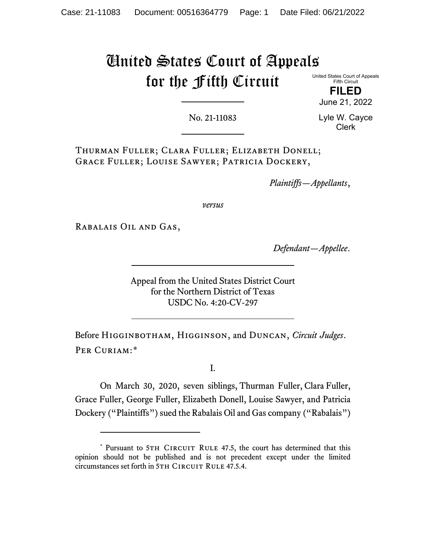## United States Court of Appeals for the Fifth Circuit

United States Court of Appeals Fifth Circuit

**FILED** June 21, 2022

No. 21-11083

Lyle W. Cayce Clerk

Thurman Fuller; Clara Fuller; Elizabeth Donell; Grace Fuller; Louise Sawyer; Patricia Dockery,

*Plaintiffs—Appellants*,

*versus*

Rabalais Oil and Gas,

*Defendant—Appellee*.

Appeal from the United States District Court for the Northern District of Texas USDC No. 4:20-CV-297

Before Higginbotham, Higginson, and Duncan, *Circuit Judges*. Per Curiam:[\\*](#page-0-0)

I.

On March 30, 2020, seven siblings, Thurman Fuller, Clara Fuller, Grace Fuller, George Fuller, Elizabeth Donell, Louise Sawyer, and Patricia Dockery ("Plaintiffs") sued the Rabalais Oil and Gas company ("Rabalais")

<span id="page-0-0"></span><sup>\*</sup> Pursuant to 5TH CIRCUIT RULE 47.5, the court has determined that this opinion should not be published and is not precedent except under the limited circumstances set forth in 5TH CIRCUIT RULE 47.5.4.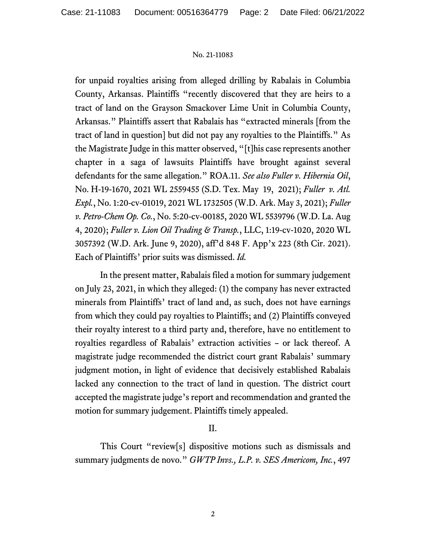## No. 21-11083

for unpaid royalties arising from alleged drilling by Rabalais in Columbia County, Arkansas. Plaintiffs "recently discovered that they are heirs to a tract of land on the Grayson Smackover Lime Unit in Columbia County, Arkansas." Plaintiffs assert that Rabalais has "extracted minerals [from the tract of land in question] but did not pay any royalties to the Plaintiffs." As the Magistrate Judge in this matter observed, "[t]his case represents another chapter in a saga of lawsuits Plaintiffs have brought against several defendants for the same allegation." ROA.11. *See also Fuller v. Hibernia Oil*, No. H-19-1670, 2021 WL 2559455 (S.D. Tex. May 19, 2021); *Fuller v. Atl. Expl.*, No. 1:20-cv-01019, 2021 WL 1732505 (W.D. Ark. May 3, 2021); *Fuller v. Petro-Chem Op. Co.*, No. 5:20-cv-00185, 2020 WL 5539796 (W.D. La. Aug 4, 2020); *Fuller v. Lion Oil Trading & Transp.*, LLC, 1:19-cv-1020, 2020 WL 3057392 (W.D. Ark. June 9, 2020), aff'd 848 F. App'x 223 (8th Cir. 2021). Each of Plaintiffs' prior suits was dismissed. *Id.* 

In the present matter, Rabalais filed a motion for summary judgement on July 23, 2021, in which they alleged: (1) the company has never extracted minerals from Plaintiffs' tract of land and, as such, does not have earnings from which they could pay royalties to Plaintiffs; and (2) Plaintiffs conveyed their royalty interest to a third party and, therefore, have no entitlement to royalties regardless of Rabalais' extraction activities – or lack thereof. A magistrate judge recommended the district court grant Rabalais' summary judgment motion, in light of evidence that decisively established Rabalais lacked any connection to the tract of land in question. The district court accepted the magistrate judge's report and recommendation and granted the motion for summary judgement. Plaintiffs timely appealed.

## II.

This Court "review[s] dispositive motions such as dismissals and summary judgments de novo." *GWTP Invs., L.P. v. SES Americom, Inc.*, 497